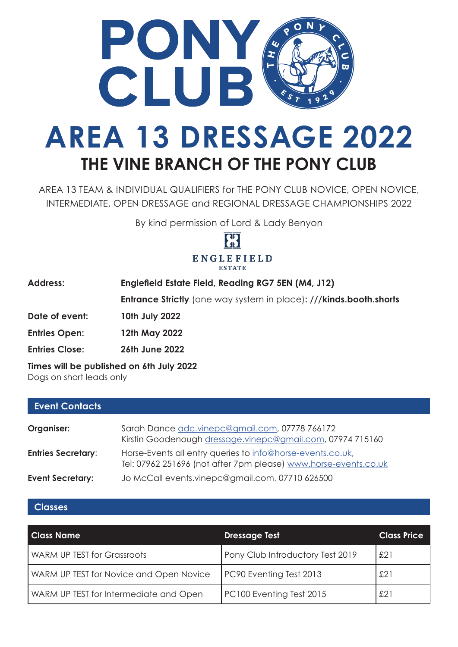

# **AREA 13 DRESSAGE 2022 THE VINE BRANCH OF THE PONY CLUB**

AREA 13 TEAM & INDIVIDUAL QUALIFIERS for THE PONY CLUB NOVICE, OPEN NOVICE, INTERMEDIATE, OPEN DRESSAGE and REGIONAL DRESSAGE CHAMPIONSHIPS 2022

By kind permission of Lord & Lady Benyon



| <b>Address:</b>                          | Englefield Estate Field, Reading RG7 5EN (M4, J12)                        |  |
|------------------------------------------|---------------------------------------------------------------------------|--|
|                                          | <b>Entrance Strictly</b> (one way system in place): ///kinds.booth.shorts |  |
| Date of event:                           | 10th July 2022                                                            |  |
| <b>Entries Open:</b>                     | 12th May 2022                                                             |  |
| <b>Entries Close:</b>                    | <b>26th June 2022</b>                                                     |  |
| Times will be published an the lubs 2022 |                                                                           |  |

**Times will be published on 6th July 2022**

|  | Dogs on short leads only |  |
|--|--------------------------|--|
|  |                          |  |

| <b>Event Contacts</b>     |                                                                                                                               |
|---------------------------|-------------------------------------------------------------------------------------------------------------------------------|
| Organiser:                | Sarah Dance adc.vinepc@gmail.com, 07778 766172<br>Kirstin Goodenough dressage.vinepc@gmail.com, 07974 715160                  |
| <b>Entries Secretary:</b> | Horse-Events all entry queries to info@horse-events.co.uk,<br>Tel: 07962 251696 (not after 7pm please) www.horse-events.co.uk |
| <b>Event Secretary:</b>   | Jo McCall events.vinepc@gmail.com, 07710 626500                                                                               |

#### **Classes**

| <b>Class Name</b>                       | <b>Dressage Test</b>             | <b>Class Price</b> |
|-----------------------------------------|----------------------------------|--------------------|
| <b>WARM UP TEST for Grassroots</b>      | Pony Club Introductory Test 2019 | £21                |
| WARM UP TEST for Novice and Open Novice | PC90 Eventing Test 2013          | £21                |
| WARM UP TEST for Intermediate and Open  | PC100 Eventing Test 2015         | £21                |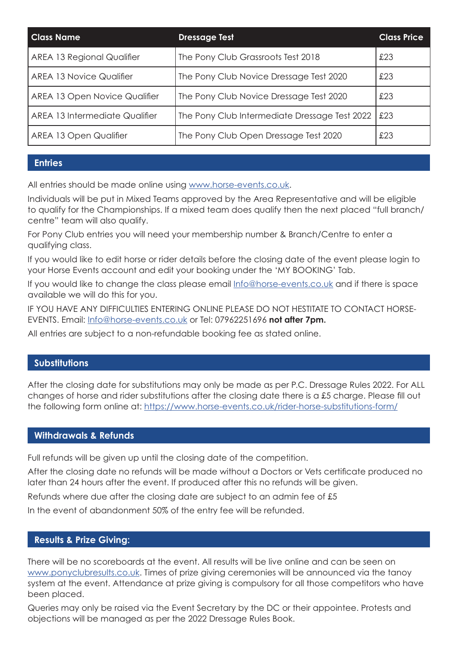| <b>Class Name</b>              | <b>Dressage Test</b>                          | <b>Class Price</b> |
|--------------------------------|-----------------------------------------------|--------------------|
| AREA 13 Regional Qualifier     | The Pony Club Grassroots Test 2018            | £23                |
| AREA 13 Novice Qualifier       | The Pony Club Novice Dressage Test 2020       | £23                |
| AREA 13 Open Novice Qualifier  | The Pony Club Novice Dressage Test 2020       | £23                |
| AREA 13 Intermediate Qualifier | The Pony Club Intermediate Dressage Test 2022 | £23                |
| AREA 13 Open Qualifier         | The Pony Club Open Dressage Test 2020         | £23                |

#### **Entries**

All entries should be made online using www.horse-events.co.uk.

Individuals will be put in Mixed Teams approved by the Area Representative and will be eligible to qualify for the Championships. If a mixed team does qualify then the next placed "full branch/ centre" team will also qualify.

For Pony Club entries you will need your membership number & Branch/Centre to enter a qualifying class.

If you would like to edit horse or rider details before the closing date of the event please login to your Horse Events account and edit your booking under the 'MY BOOKING' Tab.

If you would like to change the class please email Info@horse-events.co.uk and if there is space available we will do this for you.

IF YOU HAVE ANY DIFFICULTIES ENTERING ONLINE PLEASE DO NOT HESTITATE TO CONTACT HORSE-EVENTS. Email: Info@horse-events.co.uk or Tel: 07962251696 **not after 7pm.**

All entries are subject to a non-refundable booking fee as stated online.

#### **Substitutions**

After the closing date for substitutions may only be made as per P.C. Dressage Rules 2022. For ALL changes of horse and rider substitutions after the closing date there is a £5 charge. Please fill out the following form online at: https://www.horse-events.co.uk/rider-horse-substitutions-form/

#### **Withdrawals & Refunds**

Full refunds will be given up until the closing date of the competition.

After the closing date no refunds will be made without a Doctors or Vets certificate produced no later than 24 hours after the event. If produced after this no refunds will be given.

Refunds where due after the closing date are subject to an admin fee of £5

In the event of abandonment 50% of the entry fee will be refunded.

#### **Results & Prize Giving:**

There will be no scoreboards at the event. All results will be live online and can be seen on www.ponyclubresults.co.uk. Times of prize giving ceremonies will be announced via the tanoy system at the event. Attendance at prize giving is compulsory for all those competitors who have been placed.

Queries may only be raised via the Event Secretary by the DC or their appointee. Protests and objections will be managed as per the 2022 Dressage Rules Book.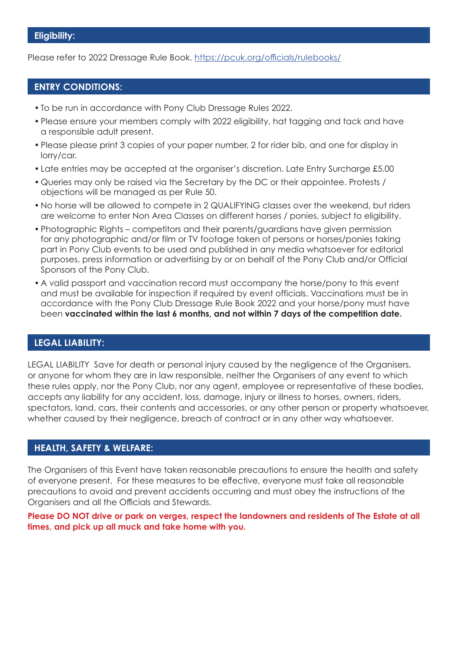Please refer to 2022 Dressage Rule Book. https://pcuk.org/officials/rulebooks/

#### **ENTRY CONDITIONS:**

- To be run in accordance with Pony Club Dressage Rules 2022.
- Please ensure your members comply with 2022 eligibility, hat tagging and tack and have a responsible adult present.
- Please please print 3 copies of your paper number, 2 for rider bib, and one for display in lorry/car.
- Late entries may be accepted at the organiser's discretion. Late Entry Surcharge £5.00
- Queries may only be raised via the Secretary by the DC or their appointee. Protests / objections will be managed as per Rule 50.
- No horse will be allowed to compete in 2 QUALIFYING classes over the weekend, but riders are welcome to enter Non Area Classes on different horses / ponies, subject to eligibility.
- Photographic Rights competitors and their parents/guardians have given permission for any photographic and/or film or TV footage taken of persons or horses/ponies taking part in Pony Club events to be used and published in any media whatsoever for editorial purposes, press information or advertising by or on behalf of the Pony Club and/or Official Sponsors of the Pony Club.
- A valid passport and vaccination record must accompany the horse/pony to this event and must be available for inspection if required by event officials. Vaccinations must be in accordance with the Pony Club Dressage Rule Book 2022 and your horse/pony must have been **vaccinated within the last 6 months, and not within 7 days of the competition date.**

#### **LEGAL LIABILITY:**

LEGAL LIABILITY Save for death or personal injury caused by the negligence of the Organisers, or anyone for whom they are in law responsible, neither the Organisers of any event to which these rules apply, nor the Pony Club, nor any agent, employee or representative of these bodies, accepts any liability for any accident, loss, damage, injury or illness to horses, owners, riders, spectators, land, cars, their contents and accessories, or any other person or property whatsoever, whether caused by their negligence, breach of contract or in any other way whatsoever.

#### **HEALTH, SAFETY & WELFARE:**

The Organisers of this Event have taken reasonable precautions to ensure the health and safety of everyone present. For these measures to be effective, everyone must take all reasonable precautions to avoid and prevent accidents occurring and must obey the instructions of the Organisers and all the Officials and Stewards.

**Please DO NOT drive or park on verges, respect the landowners and residents of The Estate at all times, and pick up all muck and take home with you.**